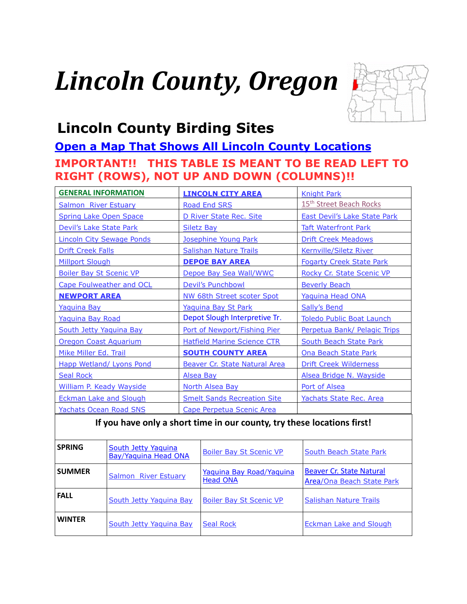# *Lincoln County, Oregon*



# <span id="page-0-0"></span>**Lincoln County Birding Sites**

# **[Open a Map That Shows All Lincoln County Locations](https://www.google.com/maps/d/edit?mid=zVl1oTDALjf4.kGRblyqhDgk0&usp=sharing) IMPORTANT!! THIS TABLE IS MEANT TO BE READ LEFT TO RIGHT (ROWS), NOT UP AND DOWN (COLUMNS)!!**

| <b>GENERAL INFORMATION</b>       | <b>LINCOLN CITY AREA</b>             | <b>Knight Park</b>                  |
|----------------------------------|--------------------------------------|-------------------------------------|
| <b>Salmon River Estuary</b>      | <b>Road End SRS</b>                  | 15 <sup>th</sup> Street Beach Rocks |
| <b>Spring Lake Open Space</b>    | D River State Rec. Site              | <b>East Devil's Lake State Park</b> |
| Devil's Lake State Park          | <b>Siletz Bay</b>                    | <b>Taft Waterfront Park</b>         |
| <b>Lincoln City Sewage Ponds</b> | Josephine Young Park                 | <b>Drift Creek Meadows</b>          |
| <b>Drift Creek Falls</b>         | <b>Salishan Nature Trails</b>        | <b>Kernville/Siletz River</b>       |
| <b>Millport Slough</b>           | <b>DEPOE BAY AREA</b>                | <b>Fogarty Creek State Park</b>     |
| <b>Boiler Bay St Scenic VP</b>   | Depoe Bay Sea Wall/WWC               | Rocky Cr. State Scenic VP           |
| Cape Foulweather and OCL         | Devil's Punchbowl                    | <b>Beverly Beach</b>                |
| <b>NEWPORT AREA</b>              | NW 68th Street scoter Spot           | Yaquina Head ONA                    |
| <b>Yaquina Bay</b>               | Yaquina Bay St Park                  | <b>Sally's Bend</b>                 |
| Yaquina Bay Road                 | Depot Slough Interpretive Tr.        | <b>Toledo Public Boat Launch</b>    |
| South Jetty Yaquina Bay          | Port of Newport/Fishing Pier         | Perpetua Bank/ Pelagic Trips        |
| <b>Oregon Coast Aquarium</b>     | <b>Hatfield Marine Science CTR</b>   | <b>South Beach State Park</b>       |
| Mike Miller Ed. Trail            | <b>SOUTH COUNTY AREA</b>             | Ona Beach State Park                |
| <b>Happ Wetland/ Lyons Pond</b>  | <b>Beaver Cr. State Natural Area</b> | <b>Drift Creek Wilderness</b>       |
| <b>Seal Rock</b>                 | <b>Alsea Bay</b>                     | Alsea Bridge N. Wayside             |
| <b>William P. Keady Wayside</b>  | <b>North Alsea Bay</b>               | Port of Alsea                       |
| <b>Eckman Lake and Slough</b>    | <b>Smelt Sands Recreation Site</b>   | Yachats State Rec. Area             |
| <b>Yachats Ocean Road SNS</b>    | Cape Perpetua Scenic Area            |                                     |

#### **If you have only a short time in our county, try these locations first!**

| <b>SPRING</b> | <b>South Jetty Yaquina</b><br><b>Bay/Yaquina Head ONA</b> | <b>Boiler Bay St Scenic VP</b>              | <b>South Beach State Park</b>                                |
|---------------|-----------------------------------------------------------|---------------------------------------------|--------------------------------------------------------------|
| <b>SUMMER</b> | <b>Salmon</b> River Estuary                               | Yaquina Bay Road/Yaquina<br><b>Head ONA</b> | <b>Beaver Cr. State Natural</b><br>Area/Ona Beach State Park |
| <b>FALL</b>   | South Jetty Yaquina Bay                                   | <b>Boiler Bay St Scenic VP</b>              | <b>Salishan Nature Trails</b>                                |
| <b>WINTER</b> | South Jetty Yaquina Bay                                   | <b>Seal Rock</b>                            | <b>Eckman Lake and Slough</b>                                |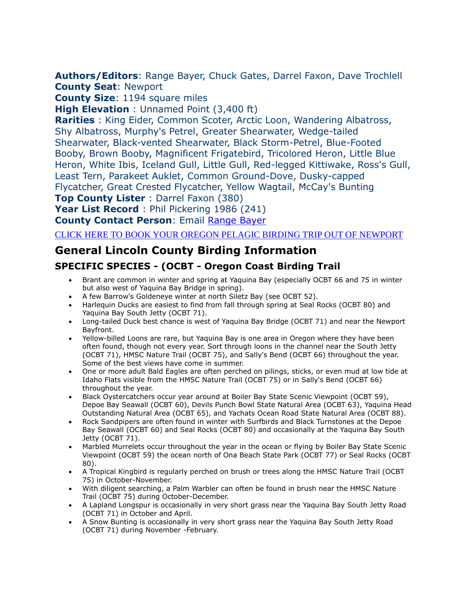<span id="page-1-0"></span>**Authors/Editors**: Range Bayer, Chuck Gates, Darrel Faxon, Dave Trochlell **County Seat**: Newport

**County Size**: 1194 square miles

**High Elevation** : Unnamed Point (3,400 ft)

**Rarities** : King Eider, Common Scoter, Arctic Loon, Wandering Albatross, Shy Albatross, Murphy's Petrel, Greater Shearwater, Wedge-tailed Shearwater, Black-vented Shearwater, Black Storm-Petrel, Blue-Footed Booby, Brown Booby, Magnificent Frigatebird, Tricolored Heron, Little Blue Heron, White Ibis, Iceland Gull, Little Gull, Red-legged Kittiwake, Ross's Gull, Least Tern, Parakeet Auklet, Common Ground-Dove, Dusky-capped Flycatcher, Great Crested Flycatcher, Yellow Wagtail, McCay's Bunting

**Top County Lister** : Darrel Faxon (380)

**Year List Record** : Phil Pickering 1986 (241)

**County Contact Person**: Email [Range Bayer](mailto:ange.bayer@gmail.com)

[CLICK HERE TO BOOK YOUR OREGON PELAGIC BIRDING TRIP OUT OF NEWPORT](http://www.oregonpelagictours.com/)

# **General Lincoln County Birding Information**

#### **SPECIFIC SPECIES - (OCBT - Oregon Coast Birding Trail**

- Brant are common in winter and spring at Yaquina Bay (especially OCBT 66 and 75 in winter but also west of Yaquina Bay Bridge in spring).
- A few Barrow's Goldeneye winter at north Siletz Bay (see OCBT 52).
- Harlequin Ducks are easiest to find from fall through spring at Seal Rocks (OCBT 80) and Yaquina Bay South Jetty (OCBT 71).
- Long-tailed Duck best chance is west of Yaquina Bay Bridge (OCBT 71) and near the Newport Bayfront.
- Yellow-billed Loons are rare, but Yaquina Bay is one area in Oregon where they have been often found, though not every year. Sort through loons in the channel near the South Jetty (OCBT 71), HMSC Nature Trail (OCBT 75), and Sally's Bend (OCBT 66) throughout the year. Some of the best views have come in summer.
- One or more adult Bald Eagles are often perched on pilings, sticks, or even mud at low tide at Idaho Flats visible from the HMSC Nature Trail (OCBT 75) or in Sally's Bend (OCBT 66) throughout the year.
- Black Oystercatchers occur year around at Boiler Bay State Scenic Viewpoint (OCBT 59), Depoe Bay Seawall (OCBT 60), Devils Punch Bowl State Natural Area (OCBT 63), Yaquina Head Outstanding Natural Area (OCBT 65), and Yachats Ocean Road State Natural Area (OCBT 88).
- Rock Sandpipers are often found in winter with Surfbirds and Black Turnstones at the Depoe Bay Seawall (OCBT 60) and Seal Rocks (OCBT 80) and occasionally at the Yaquina Bay South Jetty (OCBT 71).
- Marbled Murrelets occur throughout the year in the ocean or flying by Boiler Bay State Scenic Viewpoint (OCBT 59) the ocean north of Ona Beach State Park (OCBT 77) or Seal Rocks (OCBT 80).
- A Tropical Kingbird is regularly perched on brush or trees along the HMSC Nature Trail (OCBT 75) in October-November.
- With diligent searching, a Palm Warbler can often be found in brush near the HMSC Nature Trail (OCBT 75) during October-December.
- A Lapland Longspur is occasionally in very short grass near the Yaquina Bay South Jetty Road (OCBT 71) in October and April.
- A Snow Bunting is occasionally in very short grass near the Yaquina Bay South Jetty Road (OCBT 71) during November -February.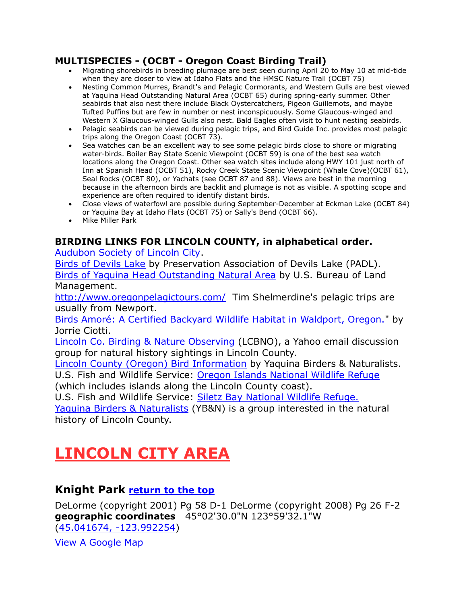#### **MULTISPECIES - (OCBT - Oregon Coast Birding Trail)**

- Migrating shorebirds in breeding plumage are best seen during April 20 to May 10 at mid-tide when they are closer to view at Idaho Flats and the HMSC Nature Trail (OCBT 75)
- Nesting Common Murres, Brandt's and Pelagic Cormorants, and Western Gulls are best viewed at Yaquina Head Outstanding Natural Area (OCBT 65) during spring-early summer. Other seabirds that also nest there include Black Oystercatchers, Pigeon Guillemots, and maybe Tufted Puffins but are few in number or nest inconspicuously. Some Glaucous-winged and Western X Glaucous-winged Gulls also nest. Bald Eagles often visit to hunt nesting seabirds.
- Pelagic seabirds can be viewed during pelagic trips, and Bird Guide Inc. provides most pelagic trips along the Oregon Coast (OCBT 73).
- Sea watches can be an excellent way to see some pelagic birds close to shore or migrating water-birds. Boiler Bay State Scenic Viewpoint (OCBT 59) is one of the best sea watch locations along the Oregon Coast. Other sea watch sites include along HWY 101 just north of Inn at Spanish Head (OCBT 51), Rocky Creek State Scenic Viewpoint (Whale Cove)(OCBT 61), Seal Rocks (OCBT 80), or Yachats (see OCBT 87 and 88). Views are best in the morning because in the afternoon birds are backlit and plumage is not as visible. A spotting scope and experience are often required to identify distant birds.
- Close views of waterfowl are possible during September-December at Eckman Lake (OCBT 84) or Yaquina Bay at Idaho Flats (OCBT 75) or Sally's Bend (OCBT 66).
- Mike Miller Park

#### **BIRDING LINKS FOR LINCOLN COUNTY, in alphabetical order.**

[Audubon Society of Lincoln City.](http://www.lincolncityaudubon.org/)

[Birds of Devils Lake](http://www.devilslakeor.us/birds.html) by Preservation Association of Devils Lake (PADL). [Birds of Yaquina Head Outstanding Natural Area](http://www.blm.gov/or/resources/recreation/yaquina/birds.php) by U.S. Bureau of Land Management.

<http://www.oregonpelagictours.com/> Tim Shelmerdine's pelagic trips are usually from Newport.

[Birds Amoré: A Certified Backyard Wildlife Habitat in Waldport, Oregon."](http://www.birdsamore.com/) by Jorrie Ciotti.

[Lincoln Co. Birding & Nature Observing](http://groups.yahoo.com/group/LCBNO/) (LCBNO), a Yahoo email discussion group for natural history sightings in Lincoln County.

[Lincoln County \(Oregon\) Bird Information](http://yaquina.info/ybn/bird/bird.htm) by Yaquina Birders & Naturalists. U.S. Fish and Wildlife Service: [Oregon Islands National Wildlife Refuge](http://www.fws.gov/oregoncoast/oregonislands/)

(which includes islands along the Lincoln County coast).

U.S. Fish and Wildlife Service: [Siletz Bay National Wildlife Refuge.](http://www.fws.gov/oregoncoast/siletzbay/)

[Yaquina Birders & Naturalists](http://yaquina.info/ybn/bird/bird.htm) (YB&N) is a group interested in the natural history of Lincoln County.

# <span id="page-2-0"></span>**LINCOLN CITY AREA**

#### <span id="page-2-1"></span>**Knight Park [return to the top](#page-0-0)**

DeLorme (copyright 2001) Pg 58 D-1 DeLorme (copyright 2008) Pg 26 F-2 **geographic coordinates** 45°02'30.0"N 123°59'32.1"W [\(45.041674, -123.992254\)](https://www.google.com/maps/place/45°02)

View A [Google Map](http://maps.google.com/maps/ms?ie=UTF8&hl=en&msa=0&msid=108036481085398338899.00046b52a098b0c35771b&ll=45.027921,-123.98037&spn=0.051927,0.110378&z=13)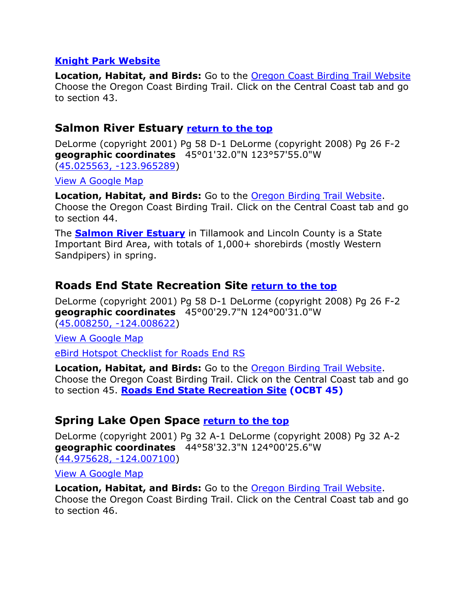#### **[Knight Park Website](http://www.co.lincoln.or.us/parks/page/knight-park)**

**Location, Habitat, and Birds:** Go to the [Oregon Coast Birding Trail Website](http://www.oregonbirdingtrails.org/) Choose the Oregon Coast Birding Trail. Click on the Central Coast tab and go to section 43.

#### <span id="page-3-0"></span>**Salmon River Estuary [return to the top](#page-0-0)**

DeLorme (copyright 2001) Pg 58 D-1 DeLorme (copyright 2008) Pg 26 F-2 **geographic coordinates** 45°01'32.0"N 123°57'55.0"W [\(45.025563, -123.965289\)](https://www.google.com/maps/place/45°01)

[View A Google Map](http://maps.google.com/maps/ms?ie=UTF8&hl=en&msa=0&msid=108036481085398338899.00046b52a098b0c35771b&ll=45.027921,-123.98037&spn=0.051927,0.110378&z=13) 

**Location, Habitat, and Birds:** Go to the [Oregon Birding Trail Website.](http://www.oregonbirdingtrails.org/) Choose the Oregon Coast Birding Trail. Click on the Central Coast tab and go to section 44.

The **[Salmon River Estuary](http://audubonportland.org/local-birding/iba/iba-map/salmon_river)** in Tillamook and Lincoln County is a State Important Bird Area, with totals of 1,000+ shorebirds (mostly Western Sandpipers) in spring.

## <span id="page-3-1"></span>**Roads End State Recreation Site [return to the top](#page-0-0)**

DeLorme (copyright 2001) Pg 58 D-1 DeLorme (copyright 2008) Pg 26 F-2 **geographic coordinates** 45°00'29.7"N 124°00'31.0"W [\(45.008250, -124.008622\)](https://www.google.com/maps/place/45°00)

[View A Google Map](http://maps.google.com/maps/ms?ie=UTF8&hl=en&msa=0&msid=108036481085398338899.00046b52a098b0c35771b&ll=45.027921,-123.98037&spn=0.051927,0.110378&z=13) 

[eBird Hotspot Checklist for Roads End RS](http://ebird.org/ebird/hotspot/L1760828)

**Location, Habitat, and Birds:** Go to the [Oregon Birding Trail Website.](http://www.oregonbirdingtrails.org/) Choose the Oregon Coast Birding Trail. Click on the Central Coast tab and go to section 45. **[Roads End State Recreation Site](http://www.oregonstateparks.org/park_225.php) (OCBT 45)**

## <span id="page-3-2"></span>**Spring Lake Open Space [return to the top](#page-0-0)**

DeLorme (copyright 2001) Pg 32 A-1 DeLorme (copyright 2008) Pg 32 A-2 **geographic coordinates** 44°58'32.3"N 124°00'25.6"W [\(44.975628, -124.007100\)](https://www.google.com/maps/place/44°58)

[View A Google Map](http://maps.google.com/maps/ms?hl=en&ie=UTF8&msa=0&msid=108036481085398338899.00046b53063a00c055d67&ll=44.936613,-123.969383&spn=0.104019,0.220757&z=12) 

**Location, Habitat, and Birds:** Go to the [Oregon Birding Trail Website.](http://www.oregonbirdingtrails.org/) Choose the Oregon Coast Birding Trail. Click on the Central Coast tab and go to section 46.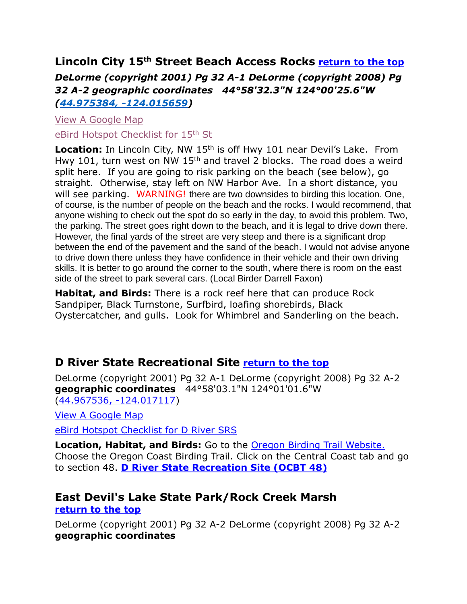# <span id="page-4-0"></span>**Lincoln City 15th Street Beach Access Rocks [return to the top](#page-0-0)** *DeLorme (copyright 2001) Pg 32 A-1 DeLorme (copyright 2008) Pg 32 A-2 geographic coordinates 44°58'32.3"N 124°00'25.6"W [\(44.975384, -124.015659\)](44.975384,%20-124.015659)*

[View A Google Map](http://maps.google.com/maps/ms?hl=en&ie=UTF8&msa=0&msid=108036481085398338899.00046b53063a00c055d67&ll=44.936613,-123.969383&spn=0.104019,0.220757&z=12) [eBird Hotspot Checklist for 15](https://ebird.org/barchart?r=L8523232&yr=all&m=)<sup>th</sup> St

Location: In Lincoln City, NW 15<sup>th</sup> is off Hwy 101 near Devil's Lake. From Hwy 101, turn west on NW 15<sup>th</sup> and travel 2 blocks. The road does a weird split here. If you are going to risk parking on the beach (see below), go straight. Otherwise, stay left on NW Harbor Ave. In a short distance, you will see parking. WARNING! there are two downsides to birding this location. One, of course, is the number of people on the beach and the rocks. I would recommend, that anyone wishing to check out the spot do so early in the day, to avoid this problem. Two, the parking. The street goes right down to the beach, and it is legal to drive down there. However, the final yards of the street are very steep and there is a significant drop between the end of the pavement and the sand of the beach. I would not advise anyone to drive down there unless they have confidence in their vehicle and their own driving skills. It is better to go around the corner to the south, where there is room on the east side of the street to park several cars. (Local Birder Darrell Faxon)

**Habitat, and Birds:** There is a rock reef here that can produce Rock Sandpiper, Black Turnstone, Surfbird, loafing shorebirds, Black Oystercatcher, and gulls. Look for Whimbrel and Sanderling on the beach.

## <span id="page-4-1"></span>**D River State Recreational Site [return to the top](#page-0-0)**

DeLorme (copyright 2001) Pg 32 A-1 DeLorme (copyright 2008) Pg 32 A-2 **geographic coordinates** 44°58'03.1"N 124°01'01.6"W [\(44.967536, -124.017117\)](https://www.google.com/maps/place/44°58)

[View A Google Map](http://maps.google.com/maps/ms?hl=en&ie=UTF8&msa=0&msid=108036481085398338899.00046b53063a00c055d67&ll=44.936613,-123.969383&spn=0.104019,0.220757&z=12) 

[eBird Hotspot Checklist for D River SRS](http://ebird.org/ebird/hotspot/L1074959)

**Location, Habitat, and Birds:** Go to the [Oregon Birding Trail Website.](http://www.oregonbirdingtrails.org/)  Choose the Oregon Coast Birding Trail. Click on the Central Coast tab and go to section 48. **[D River State Recreation Site \(OCBT 48\)](http://www.oregonstateparks.org/park_214.php)**

#### <span id="page-4-2"></span>**East Devil's Lake State Park/Rock Creek Marsh [return to the top](#page-0-0)**

DeLorme (copyright 2001) Pg 32 A-2 DeLorme (copyright 2008) Pg 32 A-2 **geographic coordinates**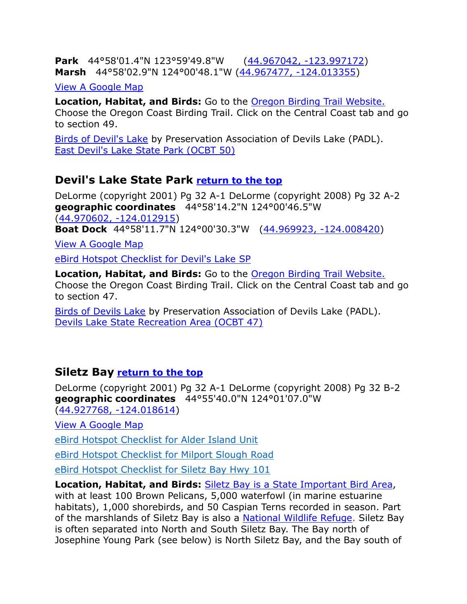**Park** 44°58'01.4"N 123°59'49.8"W [\(44.967042, -123.997172\)](https://www.google.com/maps/place/44°58) **Marsh** 44°58'02.9"N 124°00'48.1"W [\(44.967477, -124.013355\)](https://www.google.com/maps/place/44°58)

[View A Google Map](http://maps.google.com/maps/ms?hl=en&ie=UTF8&msa=0&msid=108036481085398338899.00046b53063a00c055d67&ll=44.936613,-123.969383&spn=0.104019,0.220757&z=12) 

**Location, Habitat, and Birds:** Go to the [Oregon Birding Trail Website.](http://www.oregonbirdingtrails.org/) Choose the Oregon Coast Birding Trail. Click on the Central Coast tab and go to section 49.

[Birds of Devil's Lake](http://www.devilslakeor.us/birds.html) by Preservation Association of Devils Lake (PADL). [East Devil's Lake State Park \(OCBT 50\)](http://www.oregonstateparks.org/park_216.php)

## <span id="page-5-0"></span>**Devil's Lake State Park [return to the top](#page-0-0)**

DeLorme (copyright 2001) Pg 32 A-1 DeLorme (copyright 2008) Pg 32 A-2 **geographic coordinates** 44°58'14.2"N 124°00'46.5"W [\(44.970602, -124.012915\)](https://www.google.com/maps/place/44°58) **Boat Dock** 44°58'11.7"N 124°00'30.3"W [\(44.969923, -124.008420\)](https://www.google.com/maps/place/44°58)

[View A Google Map](http://maps.google.com/maps/ms?hl=en&ie=UTF8&msa=0&msid=108036481085398338899.00046b53063a00c055d67&ll=44.936613,-123.969383&spn=0.104019,0.220757&z=12) 

eBird [Hotspot Checklist for Devil's Lake SP](http://ebird.org/ebird/hotspot/L1448402)

**Location, Habitat, and Birds:** Go to the [Oregon Birding Trail Website.](http://www.oregonbirdingtrails.org/) Choose the Oregon Coast Birding Trail. Click on the Central Coast tab and go to section 47.

<span id="page-5-1"></span>[Birds of Devils Lake](http://www.devilslakeor.us/birds.html) by Preservation Association of Devils Lake (PADL). [Devils Lake State Recreation Area \(OCBT 47\)](http://www.oregonstateparks.org/park_216.php)

## **Siletz Bay [return to the top](#page-0-0)**

DeLorme (copyright 2001) Pg 32 A-1 DeLorme (copyright 2008) Pg 32 B-2 **geographic coordinates** 44°55'40.0"N 124°01'07.0"W [\(44.927768, -124.018614\)](https://www.google.com/maps/place/44°55)

[View A Google Map](http://maps.google.com/maps/ms?hl=en&ie=UTF8&msa=0&msid=108036481085398338899.00046b53063a00c055d67&ll=44.936613,-123.969383&spn=0.104019,0.220757&z=12) 

[eBird Hotspot Checklist for Alder Island Unit](https://ebird.org/hotspot/L8214775)

[eBird Hotspot Checklist for Milport Slough Road](https://ebird.org/hotspot/L8249367)

[eBird Hotspot Checklist for Siletz Bay Hwy 101](https://ebird.org/hotspot/L159599)

**Location, Habitat, and Birds:** [Siletz Bay is a State Important Bird Area,](http://www.audubonportland.org/issues/statewide/iba/iba-map/siletz) with at least 100 Brown Pelicans, 5,000 waterfowl (in marine estuarine habitats), 1,000 shorebirds, and 50 Caspian Terns recorded in season. Part of the marshlands of Siletz Bay is also a [National Wildlife Refuge.](http://www.fws.gov/oregoncoast/siletzbay/) Siletz Bay is often separated into North and South Siletz Bay. The Bay north of Josephine Young Park (see below) is North Siletz Bay, and the Bay south of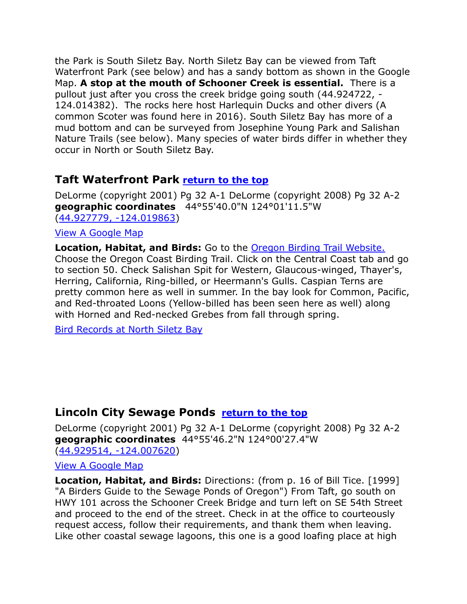the Park is South Siletz Bay. North Siletz Bay can be viewed from Taft Waterfront Park (see below) and has a sandy bottom as shown in the Google Map. **A stop at the mouth of Schooner Creek is essential.** There is a pullout just after you cross the creek bridge going south [\(44.924722, -](https://www.google.com/maps/place/44°55) [124.014382\)](https://www.google.com/maps/place/44°55). The rocks here host Harlequin Ducks and other divers (A common Scoter was found here in 2016). South Siletz Bay has more of a mud bottom and can be surveyed from Josephine Young Park and Salishan Nature Trails (see below). Many species of water birds differ in whether they occur in North or South Siletz Bay.

# <span id="page-6-0"></span>**Taft Waterfront Park [return to the](#page-0-0) top**

DeLorme (copyright 2001) Pg 32 A-1 DeLorme (copyright 2008) Pg 32 A-2 **geographic coordinates** 44°55'40.0"N 124°01'11.5"W [\(44.927779, -124.019863\)](https://www.google.com/maps/place/44°55)

#### [View A Google Map](http://maps.google.com/maps/ms?hl=en&ie=UTF8&msa=0&msid=108036481085398338899.00046b53063a00c055d67&ll=44.936613,-123.969383&spn=0.104019,0.220757&z=12)

**Location, Habitat, and Birds:** Go to the [Oregon Birding Trail Website.](http://www.oregonbirdingtrails.org/) Choose the Oregon Coast Birding Trail. Click on the Central Coast tab and go to section 50. Check Salishan Spit for Western, Glaucous-winged, Thayer's, Herring, California, Ring-billed, or Heermann's Gulls. Caspian Terns are pretty common here as well in summer. In the bay look for Common, Pacific, and Red-throated Loons (Yellow-billed has been seen here as well) along with Horned and Red-necked Grebes from fall through spring.

Bird Records at North Siletz Bay

# <span id="page-6-1"></span>**Lincoln City Sewage Ponds [return to the top](#page-0-0)**

DeLorme (copyright 2001) Pg 32 A-1 DeLorme (copyright 2008) Pg 32 A-2 **geographic coordinates** 44°55'46.2"N 124°00'27.4"W [\(44.929514, -124.007620\)](https://www.google.com/maps/place/44°55)

[View A Google Map](http://maps.google.com/maps/ms?hl=en&ie=UTF8&msa=0&msid=108036481085398338899.00046b53063a00c055d67&ll=44.936613,-123.969383&spn=0.104019,0.220757&z=12)

**Location, Habitat, and Birds:** Directions: (from p. 16 of Bill Tice. [1999] "A Birders Guide to the Sewage Ponds of Oregon") From Taft, go south on HWY 101 across the Schooner Creek Bridge and turn left on SE 54th Street and proceed to the end of the street. Check in at the office to courteously request access, follow their requirements, and thank them when leaving. Like other coastal sewage lagoons, this one is a good loafing place at high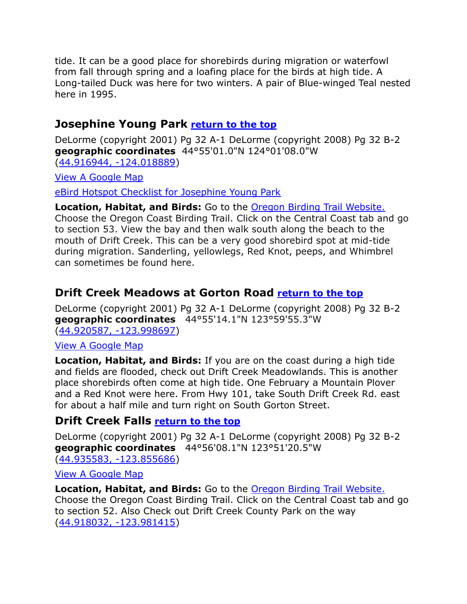tide. It can be a good place for shorebirds during migration or waterfowl from fall through spring and a loafing place for the birds at high tide. A Long-tailed Duck was here for two winters. A pair of Blue-winged Teal nested here in 1995.

## <span id="page-7-0"></span>**Josephine Young Park [return to the top](#page-0-0)**

DeLorme (copyright 2001) Pg 32 A-1 DeLorme (copyright 2008) Pg 32 B-2 **geographic coordinates** 44°55'01.0"N 124°01'08.0"W [\(44.916944, -124.018889\)](https://www.google.com/maps/place/44°55)

[View A Google Map](http://maps.google.com/maps/ms?hl=en&ie=UTF8&msa=0&msid=108036481085398338899.00046b53063a00c055d67&ll=44.936613,-123.969383&spn=0.104019,0.220757&z=12) 

[eBird Hotspot Checklist for Josephine Young Park](http://ebird.org/ebird/hotspot/L604718)

**Location, Habitat, and Birds:** Go to the [Oregon Birding Trail Website.](http://www.oregonbirdingtrails.org/) Choose the Oregon Coast Birding Trail. Click on the Central Coast tab and go to section 53. View the bay and then walk south along the beach to the mouth of Drift Creek. This can be a very good shorebird spot at mid-tide during migration. Sanderling, yellowlegs, Red Knot, peeps, and Whimbrel can sometimes be found here.

## <span id="page-7-1"></span>**Drift Creek Meadows at Gorton Road [return to the top](#page-0-0)**

DeLorme (copyright 2001) Pg 32 A-1 DeLorme (copyright 2008) Pg 32 B-2 **geographic coordinates** 44°55'14.1"N 123°59'55.3"W [\(44.920587, -123.998697\)](https://www.google.com/maps/place/44°55)

#### [View A Google Map](http://maps.google.com/maps/ms?hl=en&ie=UTF8&msa=0&msid=108036481085398338899.00046b53063a00c055d67&ll=44.936613,-123.969383&spn=0.104019,0.220757&z=12)

**Location, Habitat, and Birds:** If you are on the coast during a high tide and fields are flooded, check out Drift Creek Meadowlands. This is another place shorebirds often come at high tide. One February a Mountain Plover and a Red Knot were here. From Hwy 101, take South Drift Creek Rd. east for about a half mile and turn right on South Gorton Street.

#### <span id="page-7-2"></span>**Drift Creek Falls [return to the top](#page-0-0)**

DeLorme (copyright 2001) Pg 32 A-1 DeLorme (copyright 2008) Pg 32 B-2 **geographic coordinates** 44°56'08.1"N 123°51'20.5"W [\(44.935583, -123.855686\)](https://www.google.com/maps/place/44°56)

[View A Google Map](http://maps.google.com/maps/ms?hl=en&ie=UTF8&msa=0&msid=108036481085398338899.00046b53063a00c055d67&ll=44.936613,-123.969383&spn=0.104019,0.220757&z=12)

**Location, Habitat, and Birds:** Go to the [Oregon Birding Trail Website.](http://www.oregonbirdingtrails.org/) Choose the Oregon Coast Birding Trail. Click on the Central Coast tab and go to section 52. Also Check out Drift Creek County Park on the way [\(44.918032, -123.981415\)](https://www.google.com/maps/place/44°55)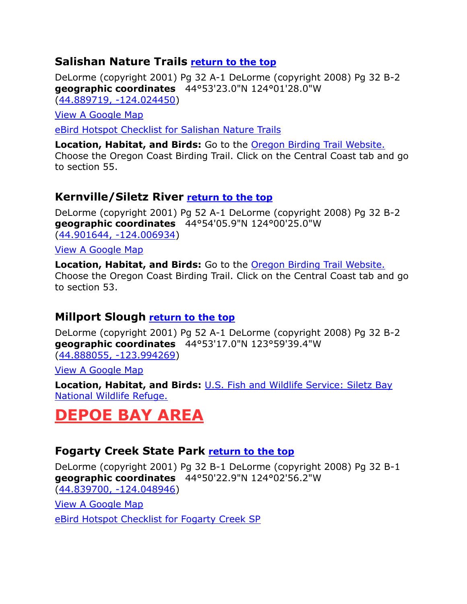#### <span id="page-8-0"></span>**Salishan Nature Trails [return to the top](#page-0-0)**

DeLorme (copyright 2001) Pg 32 A-1 DeLorme (copyright 2008) Pg 32 B-2 **geographic coordinates** 44°53'23.0"N 124°01'28.0"W [\(44.889719, -124.024450\)](https://www.google.com/maps/place/44°53)

[View A Google Map](http://maps.google.com/maps/ms?hl=en&ie=UTF8&msa=0&msid=108036481085398338899.00046b53063a00c055d67&ll=44.936613,-123.969383&spn=0.104019,0.220757&z=12)

[eBird Hotspot Checklist for Salishan Nature Trails](http://ebird.org/ebird/hotspot/L1085306)

**Location, Habitat, and Birds:** Go to the [Oregon Birding Trail Website.](http://www.oregonbirdingtrails.org/) Choose the Oregon Coast Birding Trail. Click on the Central Coast tab and go to section 55.

#### <span id="page-8-1"></span>**Kernville/Siletz River [return to the top](#page-0-0)**

DeLorme (copyright 2001) Pg 52 A-1 DeLorme (copyright 2008) Pg 32 B-2 **geographic coordinates** 44°54'05.9"N 124°00'25.0"W [\(44.901644, -124.006934\)](https://www.google.com/maps/place/44°54)

[View A Google Map](http://maps.google.com/maps/ms?hl=en&ie=UTF8&msa=0&msid=108036481085398338899.00046b53063a00c055d67&ll=44.936613,-123.969383&spn=0.104019,0.220757&z=12)

**Location, Habitat, and Birds:** Go to the [Oregon Birding Trail Website.](http://www.oregonbirdingtrails.org/) Choose the Oregon Coast Birding Trail. Click on the Central Coast tab and go to section 53.

## <span id="page-8-2"></span>**Millport Slough [return to the top](#page-0-0)**

DeLorme (copyright 2001) Pg 52 A-1 DeLorme (copyright 2008) Pg 32 B-2 **geographic coordinates** 44°53'17.0"N 123°59'39.4"W [\(44.888055, -123.994269\)](https://www.google.com/maps/place/44°53)

[View A Google Map](http://maps.google.com/maps/ms?hl=en&ie=UTF8&msa=0&msid=108036481085398338899.00046b53063a00c055d67&ll=44.936613,-123.969383&spn=0.104019,0.220757&z=12)

**Location, Habitat, and Birds:** [U.S. Fish and Wildlife Service: Siletz Bay](http://www.fws.gov/oregoncoast/siletzbay/)  [National Wildlife Refuge.](http://www.fws.gov/oregoncoast/siletzbay/)

# <span id="page-8-3"></span>**DEPOE BAY AREA**

#### <span id="page-8-4"></span>**Fogarty Creek State Park [return to the top](#page-0-0)**

DeLorme (copyright 2001) Pg 32 B-1 DeLorme (copyright 2008) Pg 32 B-1 **geographic coordinates** 44°50'22.9"N 124°02'56.2"W [\(44.839700, -124.048946\)](https://www.google.com/maps/place/44°50)

[View A Google Map](http://maps.google.com/maps/ms?hl=en&ie=UTF8&msa=0&ll=44.778911,-123.979683&spn=0.186187,0.528717&z=12&msid=108036481085398338899.00046b652749f282a4774)

[eBird Hotspot Checklist for Fogarty Creek SP](http://ebird.org/ebird/hotspot/L1296241)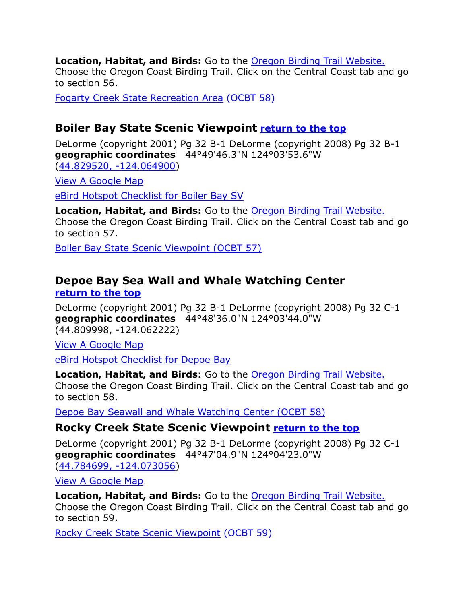**Location, Habitat, and Birds:** Go to the [Oregon Birding Trail Website.](http://www.oregonbirdingtrails.org/) Choose the Oregon Coast Birding Trail. Click on the Central Coast tab and go to section 56.

[Fogarty Creek State Recreation Area](http://www.oregonstateparks.org/park_220.php) (OCBT 58)

#### <span id="page-9-0"></span>**Boiler Bay State Scenic Viewpoint [return to the top](#page-0-0)**

DeLorme (copyright 2001) Pg 32 B-1 DeLorme (copyright 2008) Pg 32 B-1 **geographic coordinates** 44°49'46.3"N 124°03'53.6"W [\(44.829520, -124.064900\)](https://www.google.com/maps/place/44°49)

[View A Google Map](http://maps.google.com/maps/ms?hl=en&ie=UTF8&msa=0&ll=44.778911,-123.979683&spn=0.186187,0.528717&z=12&msid=108036481085398338899.00046b652749f282a4774)

[eBird Hotspot Checklist for Boiler Bay SV](http://ebird.org/ebird/hotspot/L1018792)

**Location, Habitat, and Birds:** Go to the [Oregon Birding Trail Website.](http://www.oregonbirdingtrails.org/) Choose the Oregon Coast Birding Trail. Click on the Central Coast tab and go to section 57.

[Boiler Bay State Scenic Viewpoint \(OCBT 57\)](http://www.oregonstateparks.org/park_213.php) 

#### <span id="page-9-1"></span>**Depoe Bay Sea Wall and Whale Watching Center [return to the top](#page-0-0)**

DeLorme (copyright 2001) Pg 32 B-1 DeLorme (copyright 2008) Pg 32 C-1 **geographic coordinates** 44°48'36.0"N 124°03'44.0"W (44.809998, -124.062222)

[View A Google Map](http://maps.google.com/maps/ms?hl=en&ie=UTF8&msa=0&ll=44.778911,-123.979683&spn=0.186187,0.528717&z=12&msid=108036481085398338899.00046b652749f282a4774)

[eBird Hotspot Checklist for Depoe Bay](http://ebird.org/ebird/hotspot/L578549)

**Location, Habitat, and Birds:** Go to the [Oregon Birding Trail Website.](http://www.oregonbirdingtrails.org/) Choose the Oregon Coast Birding Trail. Click on the Central Coast tab and go to section 58.

Depoe Bay Seawall and [Whale Watching Center \(OCBT 58\)](http://www.oregonstateparks.org/park_252.php)

#### <span id="page-9-2"></span>**Rocky Creek State Scenic Viewpoint [return to the top](#page-0-0)**

DeLorme (copyright 2001) Pg 32 B-1 DeLorme (copyright 2008) Pg 32 C-1 **geographic coordinates** 44°47'04.9"N 124°04'23.0"W [\(44.784699, -124.073056\)](https://www.google.com/maps/place/44°47)

[View A Google Map](http://maps.google.com/maps/ms?hl=en&ie=UTF8&msa=0&ll=44.778911,-123.979683&spn=0.186187,0.528717&z=12&msid=108036481085398338899.00046b652749f282a4774)

**Location, Habitat, and Birds:** Go to the [Oregon Birding Trail Website.](http://www.oregonbirdingtrails.org/) Choose the Oregon Coast Birding Trail. Click on the Central Coast tab and go to section 59.

[Rocky Creek State Scenic Viewpoint](http://www.oregonstateparks.org/park_253.php) (OCBT 59)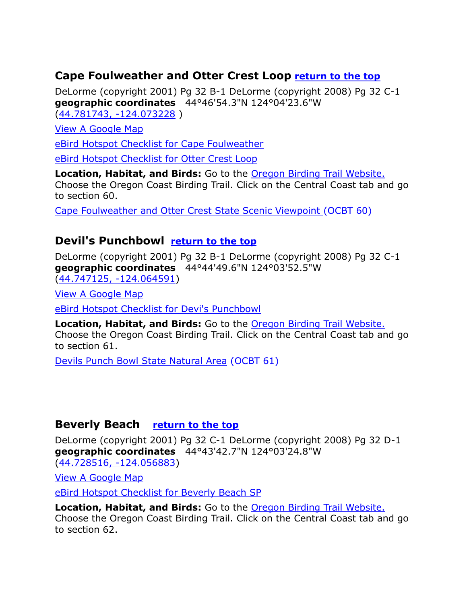#### <span id="page-10-0"></span>**Cape Foulweather and Otter Crest Loop [return to the top](#page-0-0)**

DeLorme (copyright 2001) Pg 32 B-1 DeLorme (copyright 2008) Pg 32 C-1 **geographic coordinates** 44°46'54.3"N 124°04'23.6"W [\(44.781743, -124.073228](https://www.google.com/maps/place/44°46) )

[View A Google Map](http://maps.google.com/maps/ms?hl=en&ie=UTF8&msa=0&ll=44.778911,-123.979683&spn=0.186187,0.528717&z=12&msid=108036481085398338899.00046b652749f282a4774)

[eBird Hotspot Checklist for Cape Foulweather](http://ebird.org/ebird/hotspot/L156942)

[eBird Hotspot Checklist for Otter Crest Loop](http://ebird.org/ebird/hotspot/L2665953)

**Location, Habitat, and Birds:** Go to the [Oregon Birding Trail Website.](http://www.oregonbirdingtrails.org/) Choose the Oregon Coast Birding Trail. Click on the Central Coast tab and go to section 60.

[Cape Foulweather and Otter Crest State Scenic Viewpoint \(](http://www.oregonstateparks.org/park_224.php)OCBT 60)

## <span id="page-10-1"></span>**Devil's Punchbowl [return to the top](#page-0-0)**

DeLorme (copyright 2001) Pg 32 B-1 DeLorme (copyright 2008) Pg 32 C-1 **geographic coordinates** 44°44'49.6"N 124°03'52.5"W (44.747125, [-124.064591\)](https://www.google.com/maps/place/44°44)

[View A Google Map](http://maps.google.com/maps/ms?hl=en&ie=UTF8&msa=0&ll=44.778911,-123.979683&spn=0.186187,0.528717&z=12&msid=108036481085398338899.00046b652749f282a4774)

[eBird Hotspot Checklist for Devi's Punchbowl](http://ebird.org/ebird/hotspot/L782103)

**Location, Habitat, and Birds:** Go to the [Oregon Birding Trail Website.](http://www.oregonbirdingtrails.org/) Choose the Oregon Coast Birding Trail. Click on the Central Coast tab and go to section 61.

[Devils Punch Bowl State Natural Area](http://www.oregonstateparks.org/park_217.php) (OCBT 61)

#### <span id="page-10-2"></span>**Beverly Beach [return to the top](#page-0-0)**

DeLorme (copyright 2001) Pg 32 C-1 DeLorme (copyright 2008) Pg 32 D-1 **geographic coordinates** 44°43'42.7"N 124°03'24.8"W [\(44.728516, -124.056883\)](https://www.google.com/maps/place/44°43)

[View A Google Map](http://maps.google.com/maps/ms?hl=en&ie=UTF8&msa=0&ll=44.778911,-123.979683&spn=0.186187,0.528717&z=12&msid=108036481085398338899.00046b652749f282a4774)

[eBird Hotspot Checklist for Beverly Beach SP](http://ebird.org/ebird/hotspot/L447390)

**Location, Habitat, and Birds:** Go to the [Oregon Birding Trail Website.](http://www.oregonbirdingtrails.org/) Choose the Oregon Coast Birding Trail. Click on the Central Coast tab and go to section 62.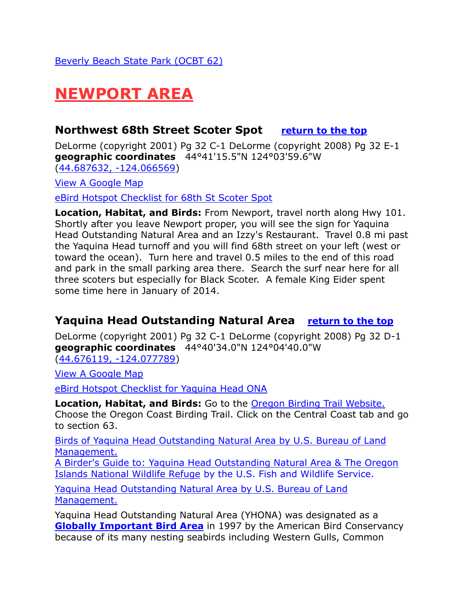# <span id="page-11-0"></span>**NEWPORT AREA**

#### <span id="page-11-1"></span>**Northwest 68th Street Scoter Spot [return to the top](#page-0-0)**

DeLorme (copyright 2001) Pg 32 C-1 DeLorme (copyright 2008) Pg 32 E-1 **geographic coordinates** 44°41'15.5"N 124°03'59.6"W [\(44.687632, -124.066569\)](https://www.google.com/maps/place/44°41)

[View A Google Map](http://maps.google.com/maps/ms?hl=en&ie=UTF8&msa=0&msid=108036481085398338899.00046b654ac9db3ddc57a&ll=44.63446,-124.007492&spn=0.104565,0.220757&z=12)

[eBird Hotspot Checklist for 68th St Scoter Spot](http://ebird.org/ebird/hotspot/L2525541)

**Location, Habitat, and Birds:** From Newport, travel north along Hwy 101. Shortly after you leave Newport proper, you will see the sign for Yaquina Head Outstanding Natural Area and an Izzy's Restaurant. Travel 0.8 mi past the Yaquina Head turnoff and you will find 68th street on your left (west or toward the ocean). Turn here and travel 0.5 miles to the end of this road and park in the small parking area there. Search the surf near here for all three scoters but especially for Black Scoter. A female King Eider spent some time here in January of 2014.

## <span id="page-11-2"></span>**Yaquina Head Outstanding Natural Area [return to the top](#page-0-0)**

DeLorme (copyright 2001) Pg 32 C-1 DeLorme (copyright 2008) Pg 32 D-1 **geographic coordinates** 44°40'34.0"N 124°04'40.0"W [\(44.676119, -124.077789\)](https://www.google.com/maps/place/44°40)

[View A Google Map](http://maps.google.com/maps/ms?hl=en&ie=UTF8&msa=0&msid=108036481085398338899.00046b654ac9db3ddc57a&ll=44.63446,-124.007492&spn=0.104565,0.220757&z=12)

[eBird Hotspot Checklist for Yaquina Head ONA](http://ebird.org/ebird/hotspot/L156941)

**Location, Habitat, and Birds:** Go to the [Oregon Birding Trail Website.](http://www.oregonbirdingtrails.org/) Choose the Oregon Coast Birding Trail. Click on the Central Coast tab and go to section 63.

[Birds of Yaquina Head Outstanding Natural Area by U.S. Bureau of Land](http://www.blm.gov/or/resources/recreation/yaquina/birds.php)  [Management.](http://www.blm.gov/or/resources/recreation/yaquina/birds.php)

[A Birder's Guide to: Yaquina Head Outstanding Natural Area & The Oregon](http://www.fws.gov/refuges/pdfs/YHONA%20Birding%20Handout.pdf)  [Islands National Wildlife Refuge](http://www.fws.gov/refuges/pdfs/YHONA%20Birding%20Handout.pdf) by the U.S. Fish and Wildlife Service.

[Yaquina Head Outstanding Natural Area by U.S. Bureau of Land](http://www.blm.gov/or/resources/recreation/yaquina/index.php)  [Management.](http://www.blm.gov/or/resources/recreation/yaquina/index.php)

Yaquina Head Outstanding Natural Area (YHONA) was designated as a **Globally Important Bird Area** in 1997 by the American Bird Conservancy because of its many nesting seabirds including Western Gulls, Common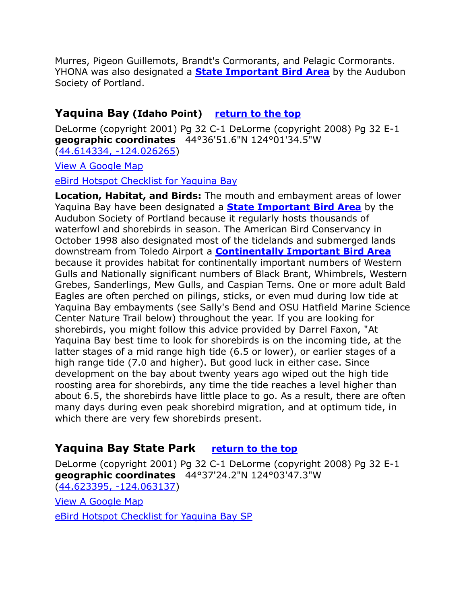Murres, Pigeon Guillemots, Brandt's Cormorants, and Pelagic Cormorants. YHONA was also designated a **[State Important Bird Area](http://www.audubonportland.org/issues/statewide/iba/iba-map/yaquinahead)** by the Audubon Society of Portland.

#### <span id="page-12-0"></span>**Yaquina Bay (Idaho Point) [return to the top](#page-0-0)**

DeLorme (copyright 2001) Pg 32 C-1 DeLorme (copyright 2008) Pg 32 E-1 **geographic coordinates** 44°36'51.6"N 124°01'34.5"W [\(44.614334, -124.026265\)](https://www.google.com/maps/place/44°36)

[View A Google Map](http://maps.google.com/maps/ms?hl=en&ie=UTF8&msa=0&msid=108036481085398338899.00046b654ac9db3ddc57a&ll=44.63446,-124.007492&spn=0.104565,0.220757&z=12)

[eBird Hotspot Checklist for Yaquina Bay](http://ebird.org/ebird/hotspot/L157119)

**Location, Habitat, and Birds:** The mouth and embayment areas of lower Yaquina Bay have been designated a **[State Important Bird Area](http://www.audubonportland.org/issues/statewide/iba/iba-map/yaquina)** by the Audubon Society of Portland because it regularly hosts thousands of waterfowl and shorebirds in season. The American Bird Conservancy in October 1998 also designated most of the tidelands and submerged lands downstream from Toledo Airport a **[Continentally Important Bird Area](http://yaquina.info/ybn/bird/iba.htm#yaquina-bay)** because it provides habitat for continentally important numbers of Western Gulls and Nationally significant numbers of Black Brant, Whimbrels, Western Grebes, Sanderlings, Mew Gulls, and Caspian Terns. One or more adult Bald Eagles are often perched on pilings, sticks, or even mud during low tide at Yaquina Bay embayments (see Sally's Bend and OSU Hatfield Marine Science Center Nature Trail below) throughout the year. If you are looking for shorebirds, you might follow this advice provided by Darrel Faxon, "At Yaquina Bay best time to look for shorebirds is on the incoming tide, at the latter stages of a mid range high tide (6.5 or lower), or earlier stages of a high range tide (7.0 and higher). But good luck in either case. Since development on the bay about twenty years ago wiped out the high tide roosting area for shorebirds, any time the tide reaches a level higher than about 6.5, the shorebirds have little place to go. As a result, there are often many days during even peak shorebird migration, and at optimum tide, in which there are very few shorebirds present.

## <span id="page-12-1"></span>**Yaquina Bay State Park [return to the top](#page-0-0)**

DeLorme (copyright 2001) Pg 32 C-1 DeLorme (copyright 2008) Pg 32 E-1 **geographic coordinates** 44°37'24.2"N 124°03'47.3"W [\(44.623395, -124.063137\)](https://www.google.com/maps/place/44°37)

[View A Google Map](http://maps.google.com/maps/ms?hl=en&ie=UTF8&msa=0&msid=108036481085398338899.00046b654ac9db3ddc57a&ll=44.63446,-124.007492&spn=0.104565,0.220757&z=12)

[eBird Hotspot Checklist for Yaquina Bay SP](http://ebird.org/ebird/hotspot/L1311564)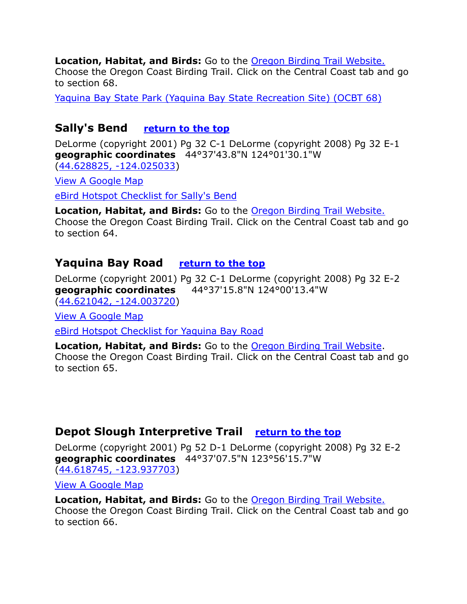**Location, Habitat, and Birds:** Go to the [Oregon Birding Trail Website.](http://www.oregonbirdingtrails.org/) Choose the Oregon Coast Birding Trail. Click on the Central Coast tab and go to section 68.

[Yaquina Bay State Park \(Yaquina Bay State Recreation Site\) \(OCBT 68\)](http://www.oregonstateparks.org/park_208.php)

#### <span id="page-13-0"></span>**Sally's Bend [return to the top](#page-0-0)**

DeLorme (copyright 2001) Pg 32 C-1 DeLorme (copyright 2008) Pg 32 E-1 **geographic coordinates** 44°37'43.8"N 124°01'30.1"W [\(44.628825, -124.025033\)](https://www.google.com/maps/place/44°37)

[View A Google Map](http://maps.google.com/maps/ms?hl=en&ie=UTF8&msa=0&msid=108036481085398338899.00046b654ac9db3ddc57a&ll=44.63446,-124.007492&spn=0.104565,0.220757&z=12)

[eBird Hotspot Checklist for Sally's Bend](http://ebird.org/ebird/hotspot/L803551)

**Location, Habitat, and Birds:** Go to the [Oregon Birding Trail Website.](http://www.oregonbirdingtrails.org/) Choose the Oregon Coast Birding Trail. Click on the Central Coast tab and go to section 64.

#### <span id="page-13-1"></span>Yaquina Bay Road **[return to the top](#page-0-0)**

DeLorme (copyright 2001) Pg 32 C-1 DeLorme (copyright 2008) Pg 32 E-2 **geographic coordinates** 44°37'15.8"N 124°00'13.4"W [\(44.621042, -124.003720\)](https://www.google.com/maps/place/44°37)

[View A Google Map](http://maps.google.com/maps/ms?hl=en&ie=UTF8&msa=0&msid=108036481085398338899.00046b654ac9db3ddc57a&ll=44.63446,-124.007492&spn=0.104565,0.220757&z=12)

[eBird Hotspot Checklist for Yaquina Bay Road](http://ebird.org/ebird/hotspot/L686949)

**Location, Habitat, and Birds:** Go to the [Oregon Birding Trail Website.](http://www.oregonbirdingtrails.org/) Choose the Oregon Coast Birding Trail. Click on the Central Coast tab and go to section 65.

#### <span id="page-13-2"></span>**Depot Slough Interpretive Trail [return to the top](#page-0-0)**

DeLorme (copyright 2001) Pg 52 D-1 DeLorme (copyright 2008) Pg 32 E-2 **geographic coordinates** 44°37'07.5"N 123°56'15.7"W [\(44.618745, -123.937703\)](https://www.google.com/maps/place/44°37)

[View A Google Map](http://maps.google.com/maps/ms?hl=en&ie=UTF8&msa=0&msid=108036481085398338899.00046b654ac9db3ddc57a&ll=44.63446,-124.007492&spn=0.104565,0.220757&z=12)

**Location, Habitat, and Birds:** Go to the [Oregon Birding Trail Website.](http://www.oregonbirdingtrails.org/) Choose the Oregon Coast Birding Trail. Click on the Central Coast tab and go to section 66.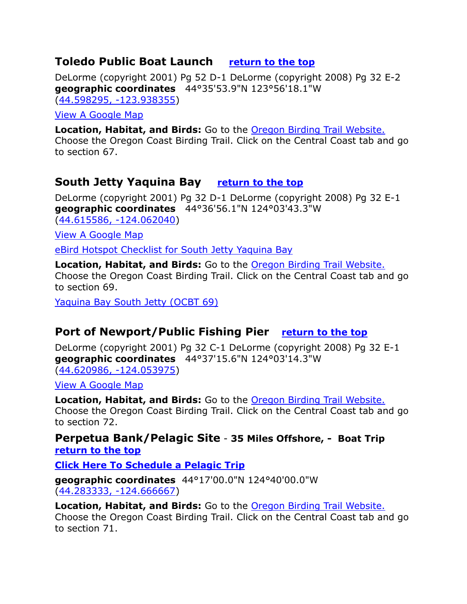#### <span id="page-14-0"></span>**Toledo Public Boat Launch [return to the top](#page-0-0)**

DeLorme (copyright 2001) Pg 52 D-1 DeLorme (copyright 2008) Pg 32 E-2 **geographic coordinates** 44°35'53.9"N 123°56'18.1"W [\(44.598295, -123.938355\)](https://www.google.com/maps/place/44°35)

[View A Google Map](http://maps.google.com/maps/ms?hl=en&ie=UTF8&msa=0&msid=108036481085398338899.00046b654ac9db3ddc57a&ll=44.63446,-124.007492&spn=0.104565,0.220757&z=12)

**Location, Habitat, and Birds:** Go to the [Oregon Birding Trail Website.](http://www.oregonbirdingtrails.org/) Choose the Oregon Coast Birding Trail. Click on the Central Coast tab and go to section 67.

## <span id="page-14-1"></span>**South Jetty Yaquina Bay [return to the top](#page-0-0)**

DeLorme (copyright 2001) Pg 32 D-1 DeLorme (copyright 2008) Pg 32 E-1 **geographic coordinates** 44°36'56.1"N 124°03'43.3"W [\(44.615586, -124.062040\)](https://www.google.com/maps/place/44°36)

[View A Google](http://maps.google.com/maps/ms?hl=en&ie=UTF8&msa=0&msid=108036481085398338899.00046b654ac9db3ddc57a&ll=44.63446,-124.007492&spn=0.104565,0.220757&z=12) Map

[eBird Hotspot Checklist for South Jetty Yaquina Bay](http://ebird.org/ebird/hotspot/L779533)

**Location, Habitat, and Birds:** Go to the [Oregon Birding Trail Website.](http://www.oregonbirdingtrails.org/) Choose the Oregon Coast Birding Trail. Click on the Central Coast tab and go to section 69.

[Yaquina Bay South Jetty \(OCBT 69\)](http://www.oregonstateparks.org/park_232.php) 

## <span id="page-14-2"></span>**Port of Newport/Public Fishing Pier [return to the top](#page-0-0)**

DeLorme (copyright 2001) Pg 32 C-1 DeLorme (copyright 2008) Pg 32 E-1 **geographic coordinates** 44°37'15.6"N 124°03'14.3"W [\(44.620986, -124.053975\)](https://www.google.com/maps/place/44°37)

[View A Google Map](http://maps.google.com/maps/ms?hl=en&ie=UTF8&msa=0&msid=108036481085398338899.00046b654ac9db3ddc57a&ll=44.63446,-124.007492&spn=0.104565,0.220757&z=12)

**Location, Habitat, and Birds:** Go to the [Oregon Birding Trail Website.](http://www.oregonbirdingtrails.org/) Choose the Oregon Coast Birding Trail. Click on the Central Coast tab and go to section 72.

<span id="page-14-3"></span>**Perpetua Bank/Pelagic Site** - **35 Miles Offshore, - Boat Trip [return to the top](#page-0-0)**

**[Click Here To Schedule a Pelagic Trip](http://thebirdguide.com/pelagics/)**

**geographic coordinates** 44°17'00.0"N 124°40'00.0"W [\(44.283333, -124.666667\)](https://www.google.com/maps/place/44°17)

**Location, Habitat, and Birds:** Go to the [Oregon Birding Trail Website.](http://www.oregonbirdingtrails.org/) Choose the Oregon Coast Birding Trail. Click on the Central Coast tab and go to section 71.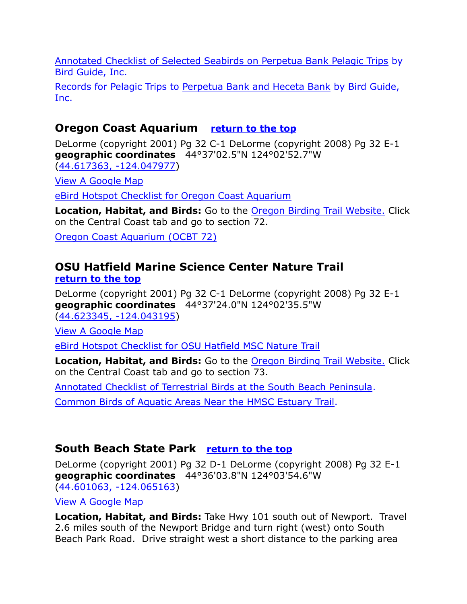[Annotated Checklist of Selected Seabirds on Perpetua Bank Pelagic Trips](http://thebirdguide.com/pelagics/annotated_checklist.htm) by Bird Guide, Inc.

Records for Pelagic Trips to [Perpetua Bank and Heceta Bank](http://thebirdguide.com/pelagics/archive_perpetua.htm) by Bird Guide, Inc.

# <span id="page-15-0"></span>**Oregon Coast Aquarium [return to the top](#page-0-0)**

DeLorme (copyright 2001) Pg 32 C-1 DeLorme (copyright 2008) Pg 32 E-1 **geographic coordinates** 44°37'02.5"N 124°02'52.7"W [\(44.617363, -124.047977\)](https://www.google.com/maps/place/44°37)

[View A Google Map](http://maps.google.com/maps/ms?hl=en&ie=UTF8&msa=0&msid=108036481085398338899.00046b654ac9db3ddc57a&ll=44.63446,-124.007492&spn=0.104565,0.220757&z=12)

[eBird Hotspot Checklist for Oregon Coast Aquarium](http://ebird.org/ebird/hotspot/L1243473)

**Location, Habitat, and Birds:** Go to the [Oregon Birding Trail Website.](http://www.oregonbirdingtrails.org/) Click on the Central Coast tab and go to section 72.

[Oregon Coast Aquarium \(OCBT 72\)](http://www.aquarium.org/)

## <span id="page-15-1"></span>**OSU Hatfield Marine Science Center Nature Trail [return to the top](#page-0-0)**

DeLorme (copyright 2001) Pg 32 C-1 DeLorme (copyright 2008) Pg 32 E-1 **geographic coordinates** 44°37'24.0"N 124°02'35.5"W [\(44.623345, -124.043195\)](https://www.google.com/maps/place/44°37)

[View A Google Map](http://maps.google.com/maps/ms?hl=en&ie=UTF8&msa=0&msid=108036481085398338899.00046b654ac9db3ddc57a&ll=44.63446,-124.007492&spn=0.104565,0.220757&z=12) 

[eBird Hotspot Checklist for OSU Hatfield MSC Nature Trail](http://ebird.org/ebird/hotspot/L613298)

**Location, Habitat, and Birds:** Go to the [Oregon Birding Trail Website.](http://www.oregonbirdingtrails.org/) Click on the Central Coast tab and go to section 73.

[Annotated Checklist of Terrestrial Birds at the South Beach Peninsula.](http://yaquina.info/ybn/bird/gg2.htm)

[Common Birds of Aquatic Areas Near the HMSC Estuary Trail.](http://yaquina.info/ybn/bird/hmscbrd.htm)

## <span id="page-15-2"></span>**South Beach State Park [return to the top](#page-0-0)**

DeLorme (copyright 2001) Pg 32 D-1 DeLorme (copyright 2008) Pg 32 E-1 **geographic coordinates** 44°36'03.8"N 124°03'54.6"W [\(44.601063, -124.065163\)](https://www.google.com/maps/place/44°36)

[View A Google Map](http://maps.google.com/maps/ms?hl=en&ie=UTF8&msa=0&msid=108036481085398338899.00046b654ac9db3ddc57a&ll=44.63446,-124.007492&spn=0.104565,0.220757&z=12) 

**Location, Habitat, and Birds:** Take Hwy 101 south out of Newport. Travel 2.6 miles south of the Newport Bridge and turn right (west) onto South Beach Park Road. Drive straight west a short distance to the parking area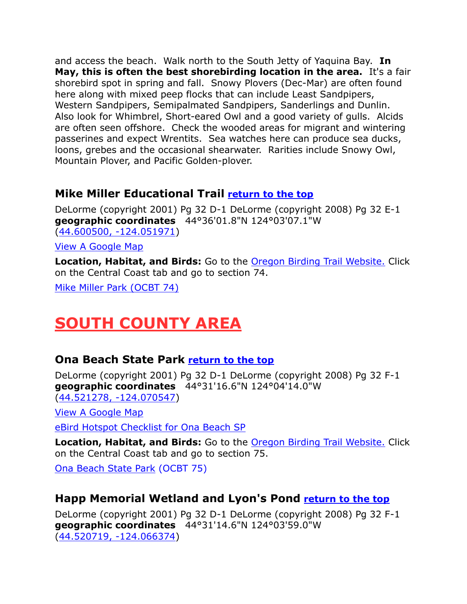and access the beach. Walk north to the South Jetty of Yaquina Bay. **In May, this is often the best shorebirding location in the area.** It's a fair shorebird spot in spring and fall. Snowy Plovers (Dec-Mar) are often found here along with mixed peep flocks that can include Least Sandpipers, Western Sandpipers, Semipalmated Sandpipers, Sanderlings and Dunlin. Also look for Whimbrel, Short-eared Owl and a good variety of gulls. Alcids are often seen offshore. Check the wooded areas for migrant and wintering passerines and expect Wrentits. Sea watches here can produce sea ducks, loons, grebes and the occasional shearwater. Rarities include Snowy Owl, Mountain Plover, and Pacific Golden-plover.

# <span id="page-16-0"></span>**Mike Miller Educational Trail [return to the top](#page-0-0)**

DeLorme (copyright 2001) Pg 32 D-1 DeLorme (copyright 2008) Pg 32 E-1 **geographic coordinates** 44°36'01.8"N 124°03'07.1"W [\(44.600500, -124.051971\)](https://www.google.com/maps/place/44°36)

[View A Google Map](http://maps.google.com/maps/ms?hl=en&ie=UTF8&msa=0&msid=108036481085398338899.00046b654ac9db3ddc57a&ll=44.63446,-124.007492&spn=0.104565,0.220757&z=12) 

**Location, Habitat, and Birds:** Go to the [Oregon Birding Trail Website.](http://www.oregonbirdingtrails.org/) Click on the Central Coast tab and go to section 74.

[Mike Miller Park \(OCBT 74\)](http://www.co.lincoln.or.us/parks/page/mike-miller-park)

# <span id="page-16-1"></span>**SOUTH COUNTY AREA**

## <span id="page-16-2"></span>**Ona Beach State Park [return to the top](#page-0-0)**

DeLorme (copyright 2001) Pg 32 D-1 DeLorme (copyright 2008) Pg 32 F-1 **geographic coordinates** 44°31'16.6"N 124°04'14.0"W [\(44.521278, -124.070547\)](https://www.google.com/maps/place/44°31)

[View A Google Map](http://maps.google.com/maps/ms?hl=en&ie=UTF8&msa=0&msid=108036481085398338899.00046b654ac9db3ddc57a&ll=44.63446,-124.007492&spn=0.104565,0.220757&z=12)

[eBird Hotspot Checklist for Ona Beach SP](http://ebird.org/ebird/hotspot/L798371)

**Location, Habitat, and Birds:** Go to the [Oregon Birding Trail Website.](http://www.oregonbirdingtrails.org/) Click on the Central Coast tab and go to section 75.

[Ona Beach State Park](http://oregonstateparks.org/index.cfm?do=parkPage.dsp_parkPage&parkId=146) (OCBT 75)

# <span id="page-16-3"></span>**Happ Memorial Wetland and Lyon's Pond [return to the top](#page-0-0)**

DeLorme (copyright 2001) Pg 32 D-1 DeLorme (copyright 2008) Pg 32 F-1 **geographic coordinates** 44°31'14.6"N 124°03'59.0"W [\(44.520719, -124.066374\)](https://www.google.com/maps/place/44°31)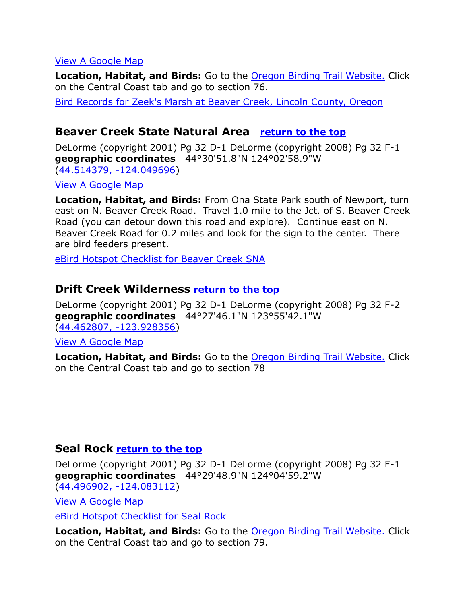#### [View A Google Map](http://maps.google.com/maps/ms?hl=en&ie=UTF8&msa=0&msid=108036481085398338899.00046b654ac9db3ddc57a&ll=44.63446,-124.007492&spn=0.104565,0.220757&z=12)

**Location, Habitat, and Birds:** Go to the [Oregon Birding Trail Website.](http://www.oregonbirdingtrails.org/) Click on the Central Coast tab and go to section 76.

[Bird Records for Zeek's Marsh at Beaver Creek, Lincoln County, Oregon](http://yaquina.info/ybn/bird/beaver5.htm)

#### <span id="page-17-0"></span>**Beaver Creek State Natural Area [return to the top](#page-0-0)**

DeLorme (copyright 2001) Pg 32 D-1 DeLorme (copyright 2008) Pg 32 F-1 **geographic coordinates** 44°30'51.8"N 124°02'58.9"W [\(44.514379, -124.049696\)](https://www.google.com/maps/place/44°30)

[View A Google Map](http://maps.google.com/maps/ms?hl=en&ie=UTF8&msa=0&msid=108036481085398338899.00046b654ac9db3ddc57a&ll=44.63446,-124.007492&spn=0.104565,0.220757&z=12)

**Location, Habitat, and Birds:** From Ona State Park south of Newport, turn east on N. Beaver Creek Road. Travel 1.0 mile to the Jct. of S. Beaver Creek Road (you can detour down this road and explore). Continue east on N. Beaver Creek Road for 0.2 miles and look for the sign to the center. There are bird feeders present.

[eBird Hotspot Checklist for Beaver Creek SNA](http://ebird.org/ebird/hotspot/L1048055?yr=all&m=&rank=mrec)

#### <span id="page-17-1"></span>**Drift Creek Wilderness [return to the top](#page-0-0)**

DeLorme (copyright 2001) Pg 32 D-1 DeLorme (copyright 2008) Pg 32 F-2 **geographic coordinates** 44°27'46.1"N 123°55'42.1"W [\(44.462807, -123.928356\)](https://www.google.com/maps/place/44°27)

[View A Google Map](http://maps.google.com/maps/ms?hl=en&ie=UTF8&msa=0&ll=44.492342,-123.981743&spn=0.187109,0.528717&z=12&msid=108036481085398338899.00046b693704a92b88697)

**Location, Habitat, and Birds:** Go to the [Oregon Birding Trail Website.](http://www.oregonbirdingtrails.org/) Click on the Central Coast tab and go to section 78

#### <span id="page-17-2"></span>**Seal Rock [return to the top](#page-0-0)**

DeLorme (copyright 2001) Pg 32 D-1 DeLorme (copyright 2008) Pg 32 F-1 **geographic coordinates** 44°29'48.9"N 124°04'59.2"W [\(44.496902, -124.083112\)](https://www.google.com/maps/place/44°29)

[View A Google Map](http://maps.google.com/maps/ms?hl=en&ie=UTF8&msa=0&msid=108036481085398338899.00046b654ac9db3ddc57a&ll=44.63446,-124.007492&spn=0.104565,0.220757&z=12)

[eBird Hotspot Checklist for Seal Rock](http://ebird.org/ebird/hotspot/L491606)

**Location, Habitat, and Birds:** Go to the [Oregon Birding Trail Website.](http://www.oregonbirdingtrails.org/) Click on the Central Coast tab and go to section 79.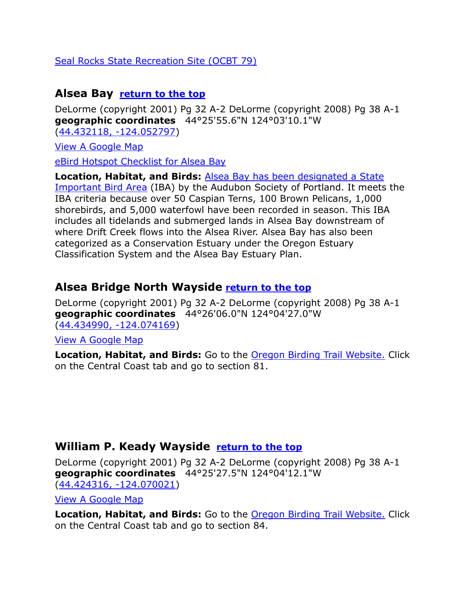#### [Seal Rocks State Recreation Site \(OCBT 79\)](http://www.oregonstateparks.org/park_207.php)

#### <span id="page-18-0"></span>**Alsea Bay [return to the top](#page-0-0)**

DeLorme (copyright 2001) Pg 32 A-2 DeLorme (copyright 2008) Pg 38 A-1 **geographic coordinates** 44°25'55.6"N 124°03'10.1"W [\(44.432118, -124.052797\)](https://www.google.com/maps/place/44°25)

[View A Google Map](http://maps.google.com/maps/ms?hl=en&ie=UTF8&msa=0&msid=108036481085398338899.00046b69acc57c9140cc5&ll=44.428999,-124.060879&spn=0.052467,0.110378&z=13)

[eBird Hotspot Checklist for Alsea Bay](http://ebird.org/ebird/hotspot/L159570)

**Location, Habitat, and Birds:** [Alsea Bay has been designated a State](http://www.audubonportland.org/issues/statewide/iba/iba-map/alsea-bay)  [Important Bird Area](http://www.audubonportland.org/issues/statewide/iba/iba-map/alsea-bay) (IBA) by the Audubon Society of Portland. It meets the IBA criteria because over 50 Caspian Terns, 100 Brown Pelicans, 1,000 shorebirds, and 5,000 waterfowl have been recorded in season. This IBA includes all tidelands and submerged lands in Alsea Bay downstream of where Drift Creek flows into the Alsea River. Alsea Bay has also been categorized as a Conservation Estuary under the Oregon Estuary Classification System and the Alsea Bay Estuary Plan.

#### <span id="page-18-1"></span>**Alsea Bridge North Wayside [return to the top](#page-0-0)**

DeLorme (copyright 2001) Pg 32 A-2 DeLorme (copyright 2008) Pg 38 A-1 **geographic coordinates** 44°26'06.0"N 124°04'27.0"W [\(44.434990, -124.074169\)](https://www.google.com/maps/place/44°26)

[View A Google Map](http://maps.google.com/maps/ms?hl=en&ie=UTF8&msa=0&msid=108036481085398338899.00046b69acc57c9140cc5&ll=44.428999,-124.060879&spn=0.052467,0.110378&z=13)

**Location, Habitat, and Birds:** Go to the [Oregon Birding Trail Website.](http://www.oregonbirdingtrails.org/) Click on the Central Coast tab and go to section 81.

#### <span id="page-18-2"></span>**William P. Keady Wayside [return to the top](#page-0-0)**

DeLorme (copyright 2001) Pg 32 A-2 DeLorme (copyright 2008) Pg 38 A-1 **geographic coordinates** 44°25'27.5"N 124°04'12.1"W [\(44.424316, -124.070021\)](https://www.google.com/maps/place/44°25)

[View A Google Map](http://maps.google.com/maps/ms?hl=en&ie=UTF8&msa=0&msid=108036481085398338899.00046b69acc57c9140cc5&ll=44.428999,-124.060879&spn=0.052467,0.110378&z=13)

**Location, Habitat, and Birds:** Go to the [Oregon Birding Trail Website.](http://www.oregonbirdingtrails.org/) Click on the Central Coast tab and go to section 84.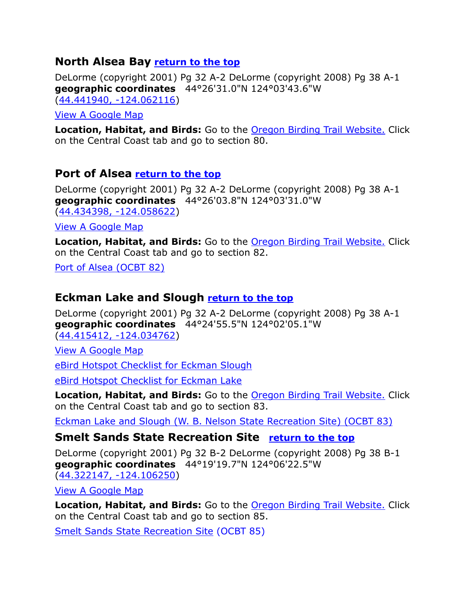## <span id="page-19-0"></span>**North Alsea Bay [return to the top](#page-0-0)**

DeLorme (copyright 2001) Pg 32 A-2 DeLorme (copyright 2008) Pg 38 A-1 **geographic coordinates** 44°26'31.0"N 124°03'43.6"W [\(44.441940, -124.062116\)](https://www.google.com/maps/place/44°26)

[View A Google Map](http://maps.google.com/maps/ms?hl=en&ie=UTF8&msa=0&msid=108036481085398338899.00046b69acc57c9140cc5&ll=44.428999,-124.060879&spn=0.052467,0.110378&z=13)

**Location, Habitat, and Birds:** Go to the [Oregon Birding Trail Website.](http://www.oregonbirdingtrails.org/) Click on the Central Coast tab and go to section 80.

#### <span id="page-19-1"></span>**Port of Alsea [return to the top](#page-0-0)**

DeLorme (copyright 2001) Pg 32 A-2 DeLorme (copyright 2008) Pg 38 A-1 **geographic coordinates** 44°26'03.8"N 124°03'31.0"W [\(44.434398, -124.058622\)](https://www.google.com/maps/place/44°26)

[View A Google Map](http://maps.google.com/maps/ms?hl=en&ie=UTF8&msa=0&msid=108036481085398338899.00046b69acc57c9140cc5&ll=44.428999,-124.060879&spn=0.052467,0.110378&z=13)

**Location, Habitat, and Birds:** Go to the [Oregon Birding Trail Website.](http://www.oregonbirdingtrails.org/) Click on the Central Coast tab and go to section 82.

[Port of Alsea \(OCBT 82\)](http://www.portofalsea.com/home.cfm?dir_cat=82763)

#### <span id="page-19-2"></span>**Eckman Lake and Slough [return to the top](#page-0-0)**

DeLorme (copyright 2001) Pg 32 A-2 DeLorme (copyright 2008) Pg 38 A-1 **geographic coordinates** 44°24'55.5"N 124°02'05.1"W [\(44.415412, -124.034762\)](https://www.google.com/maps/place/44°24)

[View A Google Map](http://maps.google.com/maps/ms?hl=en&ie=UTF8&msa=0&msid=108036481085398338899.00046b69acc57c9140cc5&ll=44.428999,-124.060879&spn=0.052467,0.110378&z=13)

[eBird Hotspot Checklist for Eckman Slough](http://ebird.org/ebird/hotspot/L1895674)

[eBird Hotspot Checklist for Eckman Lake](http://ebird.org/ebird/hotspot/L633498)

**Location, Habitat, and Birds:** Go to the [Oregon Birding Trail Website.](http://www.oregonbirdingtrails.org/) Click on the Central Coast tab and go to section 83.

[Eckman Lake and Slough \(W. B. Nelson State Recreation Site\) \(OCBT 83\)](http://www.oregonstateparks.org/park_131.php)

#### <span id="page-19-3"></span>**Smelt Sands State Recreation Site [return to the top](#page-0-0)**

DeLorme (copyright 2001) Pg 32 B-2 DeLorme (copyright 2008) Pg 38 B-1 **geographic coordinates** 44°19'19.7"N 124°06'22.5"W [\(44.322147, -124.106250\)](https://www.google.com/maps/place/44°19)

[View A Google Map](http://maps.google.com/maps/ms?hl=en&ie=UTF8&msa=0&ll=44.30051,-124.074955&spn=0.093862,0.264359&z=13&msid=108036481085398338899.00046b69f8203031f2aa3)

**Location, Habitat, and Birds:** Go to the **[Oregon Birding Trail Website.](http://www.oregonbirdingtrails.org/)** Click on the Central Coast tab and go to section 85.

[Smelt Sands State Recreation Site](http://www.oregonstateparks.org/park_128.php) (OCBT 85)